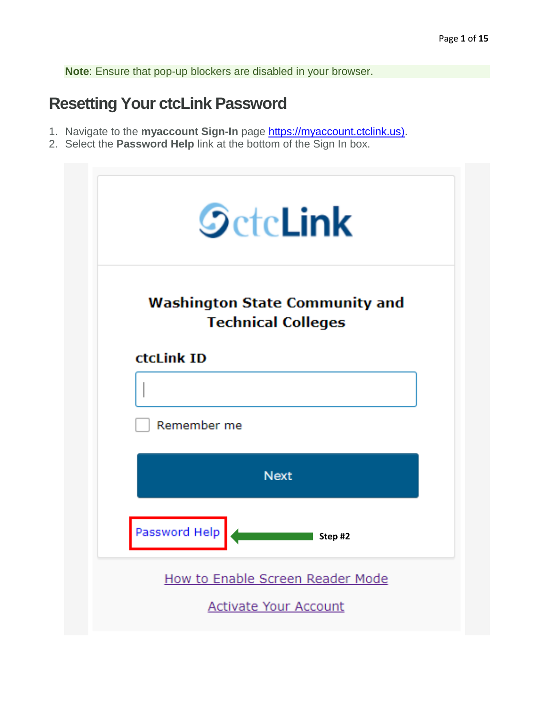**Note**: Ensure that pop-up blockers are disabled in your browser.

### **Resetting Your ctcLink Password**

- 1. Navigate to the **myaccount Sign-In** page [https://myaccount.ctclink.us\).](https://myaccount.ctclink.us)/)
- 2. Select the **Password Help** link at the bottom of the Sign In box.

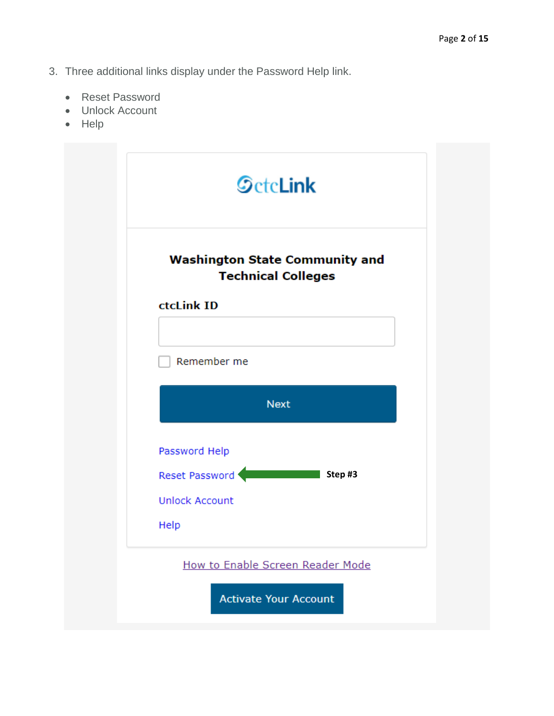- 3. Three additional links display under the Password Help link.
	- Reset Password
	- Unlock Account
	- Help

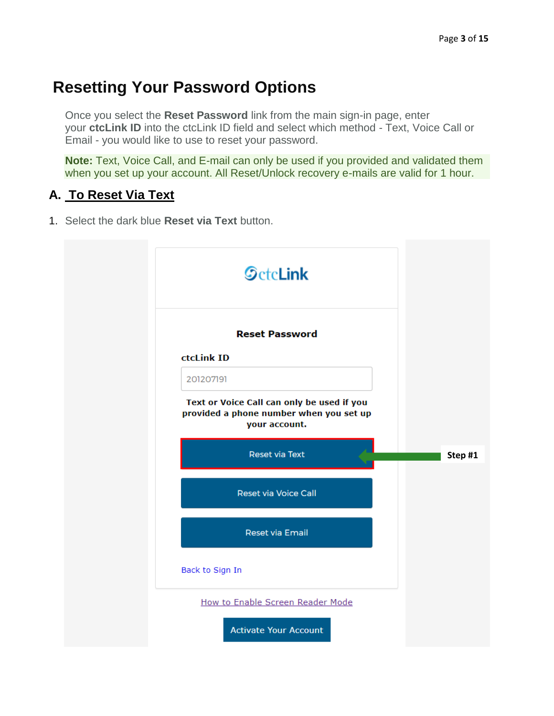# **Resetting Your Password Options**

Once you select the **Reset Password** link from the main sign-in page, enter your **ctcLink ID** into the ctcLink ID field and select which method - Text, Voice Call or Email - you would like to use to reset your password.

**Note:** Text, Voice Call, and E-mail can only be used if you provided and validated them when you set up your account. All Reset/Unlock recovery e-mails are valid for 1 hour.

#### **A. To Reset Via Text**

1. Select the dark blue **Reset via Text** button.

| <b>SctcLink</b>                                                                                        |        |
|--------------------------------------------------------------------------------------------------------|--------|
| <b>Reset Password</b>                                                                                  |        |
| ctcLink ID                                                                                             |        |
| 201207191                                                                                              |        |
| Text or Voice Call can only be used if you<br>provided a phone number when you set up<br>your account. |        |
| <b>Reset via Text</b>                                                                                  | Step#1 |
| <b>Reset via Voice Call</b>                                                                            |        |
| <b>Reset via Email</b>                                                                                 |        |
|                                                                                                        |        |
| Back to Sign In                                                                                        |        |
| How to Enable Screen Reader Mode                                                                       |        |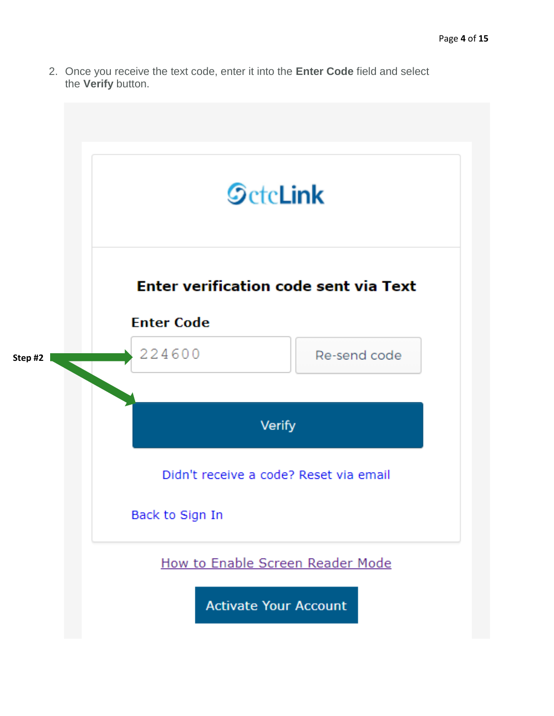2. Once you receive the text code, enter it into the **Enter Code** field and select the **Verify** button.

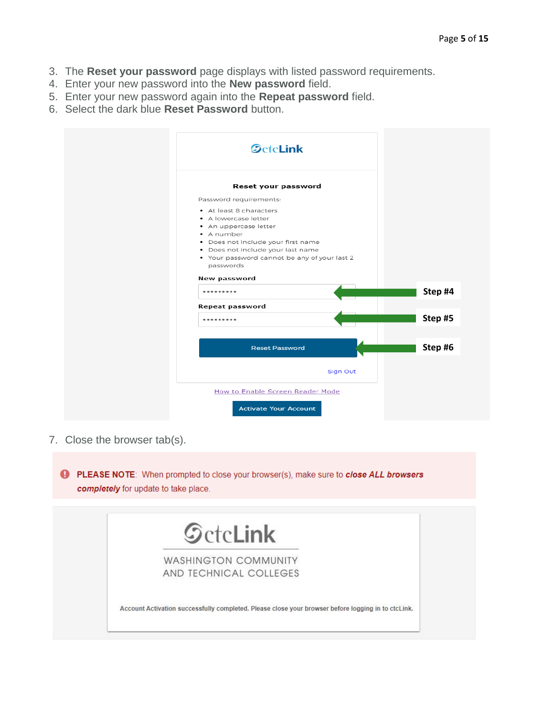- 3. The **Reset your password** page displays with listed password requirements.
- 4. Enter your new password into the **New password** field.
- 5. Enter your new password again into the **Repeat password** field.
- 6. Select the dark blue **Reset Password** button.

| <b>SctcLink</b>                                           |          |         |
|-----------------------------------------------------------|----------|---------|
| Reset your password                                       |          |         |
| Password requirements:                                    |          |         |
| • At least 8 characters                                   |          |         |
| • A lowercase letter                                      |          |         |
| • An uppercase letter                                     |          |         |
| • A number                                                |          |         |
| · Does not include your first name                        |          |         |
| · Does not include your last name                         |          |         |
| . Your password cannot be any of your last 2<br>passwords |          |         |
| New password                                              |          |         |
| -------                                                   |          | Step #4 |
| <b>Repeat password</b>                                    |          |         |
|                                                           |          | Step #5 |
|                                                           |          |         |
| <b>Reset Password</b>                                     |          | Step #6 |
|                                                           | Sign Out |         |
|                                                           |          |         |
|                                                           |          |         |
| How to Enable Screen Reader Mode                          |          |         |

7. Close the browser tab(s).

PLEASE NOTE: When prompted to close your browser(s), make sure to close ALL browsers completely for update to take place.

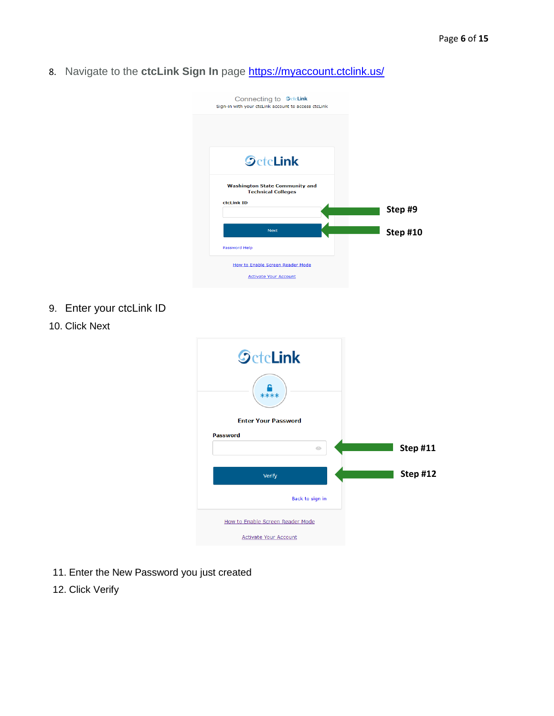8. Navigate to the **ctcLink Sign In** page **https://myaccount.ctclink.us/** 



- 9. Enter your ctcLink ID
- **SctcLink** € **Enter Your Password** Password **Step #11**  $\odot$ **Step #12**Verify Back to sign in How to Enable Screen Reader Mode **Activate Your Account**
- 10. Click Next

- 11. Enter the New Password you just created
- 12. Click Verify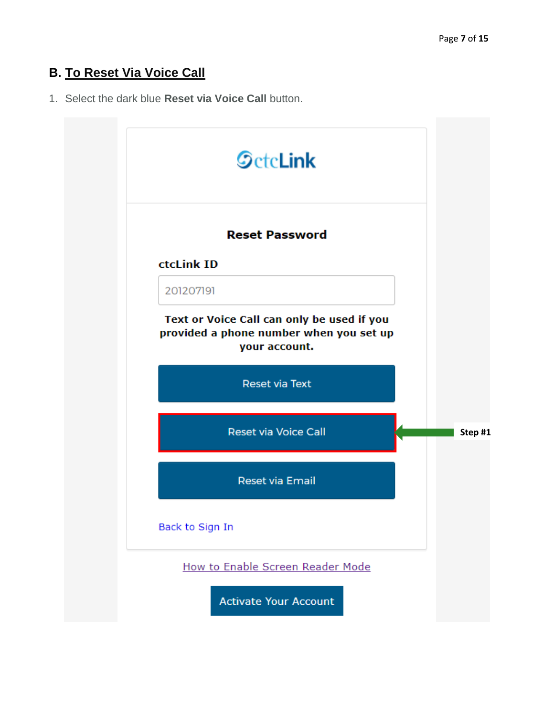### **B. To Reset Via Voice Call**

1. Select the dark blue **Reset via Voice Call** button.

| <b>SctcLink</b>                                                                                        |  |
|--------------------------------------------------------------------------------------------------------|--|
| <b>Reset Password</b>                                                                                  |  |
| ctcLink ID                                                                                             |  |
| 201207191                                                                                              |  |
| Text or Voice Call can only be used if you<br>provided a phone number when you set up<br>your account. |  |
| <b>Reset via Text</b>                                                                                  |  |
| <b>Reset via Voice Call</b>                                                                            |  |
| <b>Reset via Email</b>                                                                                 |  |
| Back to Sign In                                                                                        |  |
| How to Enable Screen Reader Mode                                                                       |  |
| <b>Activate Your Account</b>                                                                           |  |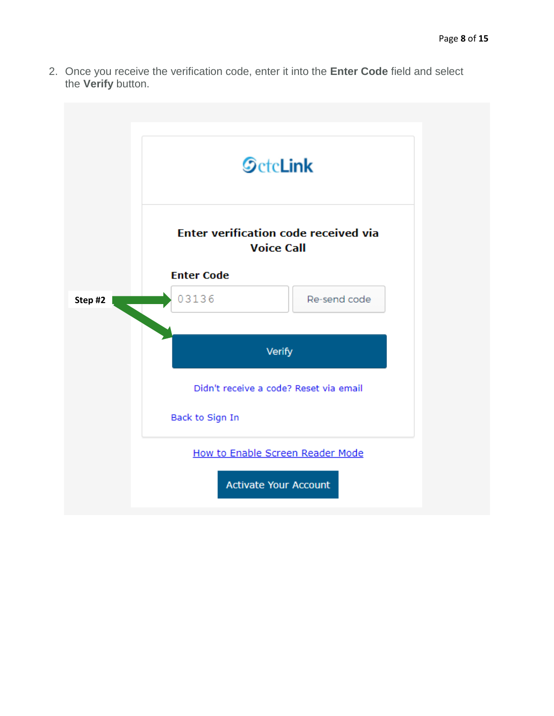2. Once you receive the verification code, enter it into the **Enter Code** field and select the **Verify** button.

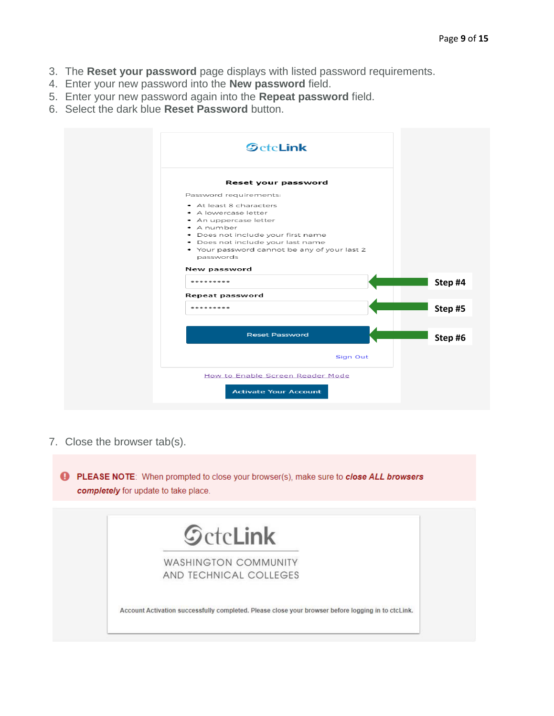- 3. The **Reset your password** page displays with listed password requirements.
- 4. Enter your new password into the **New password** field.
- 5. Enter your new password again into the **Repeat password** field.
- 6. Select the dark blue **Reset Password** button.

| <b>SctcLink</b>                                                                       |          |
|---------------------------------------------------------------------------------------|----------|
| Reset your password                                                                   |          |
| Password requirements:                                                                |          |
| • At least 8 characters<br>• A lowercase letter<br>• An uppercase letter              |          |
| • A number<br>· Does not include your first name<br>· Does not include your last name |          |
| . Your password cannot be any of your last 2<br>passwords                             |          |
| <b>New password</b>                                                                   |          |
|                                                                                       | Step #4  |
| <b>Repeat password</b>                                                                |          |
| ---------                                                                             | Step #5  |
| <b>Reset Password</b>                                                                 | Step #6  |
|                                                                                       | Sign Out |
| How to Enable Screen Reader Mode                                                      |          |
|                                                                                       |          |

7. Close the browser tab(s).

PLEASE NOTE: When prompted to close your browser(s), make sure to close ALL browsers completely for update to take place.

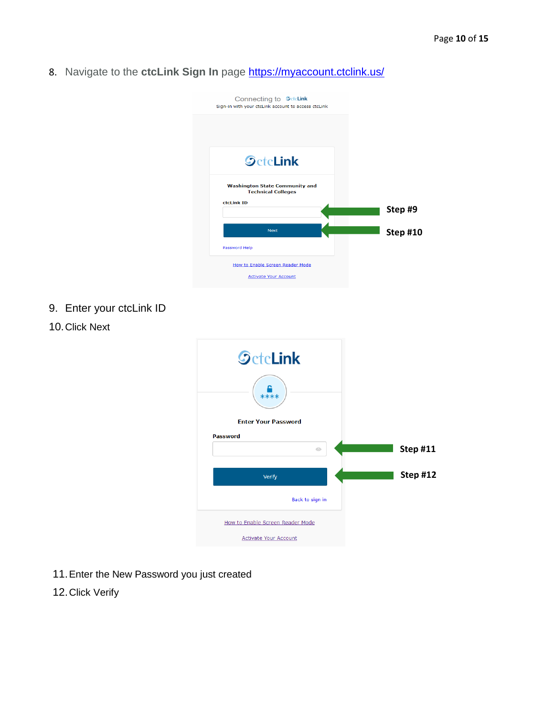8. Navigate to the **ctcLink Sign In** page **https://myaccount.ctclink.us/** 



- 9. Enter your ctcLink ID
- **SctcLink** € **Enter Your Password Password Step #11**  $\odot$ **Step #12**Verify Back to sign in How to Enable Screen Reader Mode **Activate Your Account**
- 10.Click Next

- 11.Enter the New Password you just created
- 12.Click Verify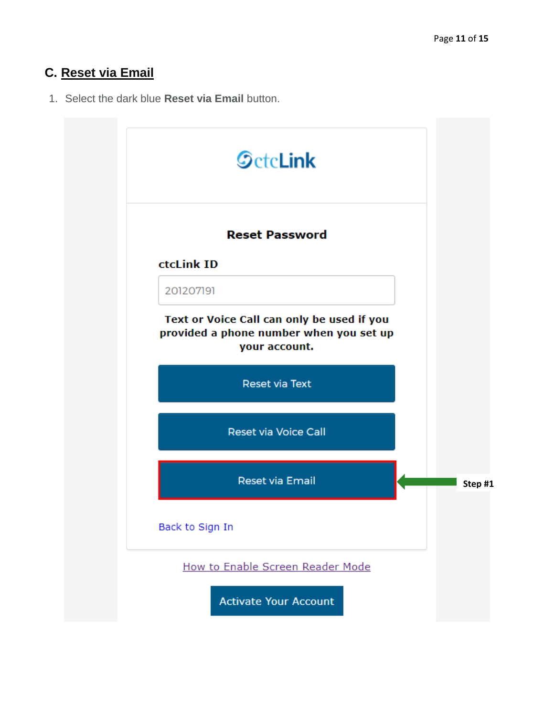## **C. Reset via Email**

1. Select the dark blue **Reset via Email** button.

| <b>SctcLink</b>                                                                                        |  |
|--------------------------------------------------------------------------------------------------------|--|
| <b>Reset Password</b>                                                                                  |  |
| ctcLink ID                                                                                             |  |
| 201207191                                                                                              |  |
| Text or Voice Call can only be used if you<br>provided a phone number when you set up<br>your account. |  |
| <b>Reset via Text</b>                                                                                  |  |
| <b>Reset via Voice Call</b>                                                                            |  |
| <b>Reset via Email</b>                                                                                 |  |
| Back to Sign In                                                                                        |  |
| How to Enable Screen Reader Mode                                                                       |  |
| <b>Activate Your Account</b>                                                                           |  |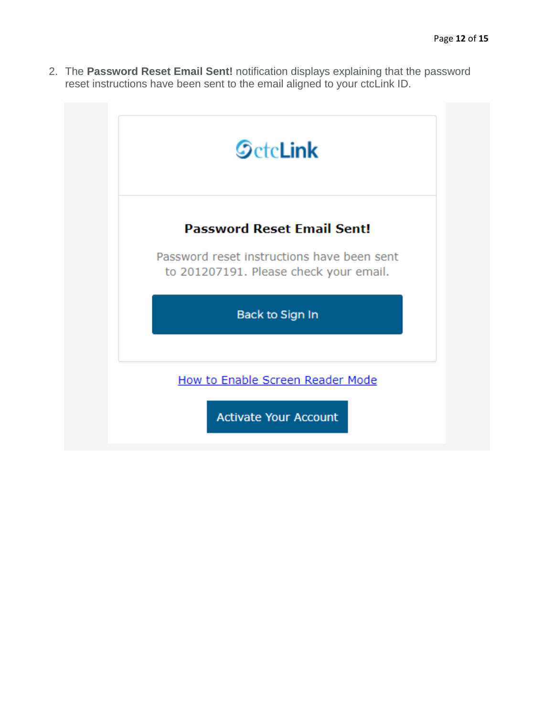2. The **Password Reset Email Sent!** notification displays explaining that the password reset instructions have been sent to the email aligned to your ctcLink ID.

| <b>SctcLink</b>                                                                      |
|--------------------------------------------------------------------------------------|
| <b>Password Reset Email Sent!</b>                                                    |
| Password reset instructions have been sent<br>to 201207191. Please check your email. |
| Back to Sign In                                                                      |
| How to Enable Screen Reader Mode                                                     |
| <b>Activate Your Account</b>                                                         |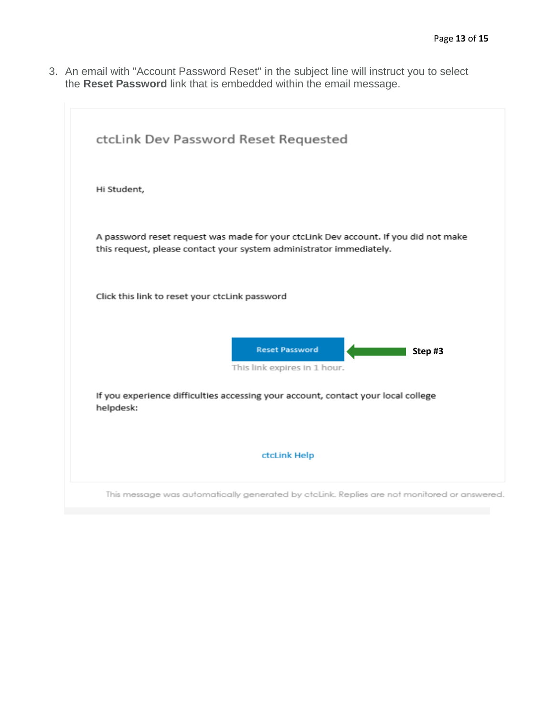3. An email with "Account Password Reset" in the subject line will instruct you to select the **Reset Password** link that is embedded within the email message.

| ctcLink Dev Password Reset Requested                                                                                                                       |
|------------------------------------------------------------------------------------------------------------------------------------------------------------|
| Hi Student,                                                                                                                                                |
| A password reset request was made for your ctcLink Dev account. If you did not make<br>this request, please contact your system administrator immediately. |
| Click this link to reset your ctcLink password                                                                                                             |
| <b>Reset Password</b><br>Step#3<br>This link expires in 1 hour.                                                                                            |
| If you experience difficulties accessing your account, contact your local college<br>helpdesk:                                                             |
| ctcLink Help                                                                                                                                               |
| This message was automatically generated by ctcLink. Replies are not monitored or answered.                                                                |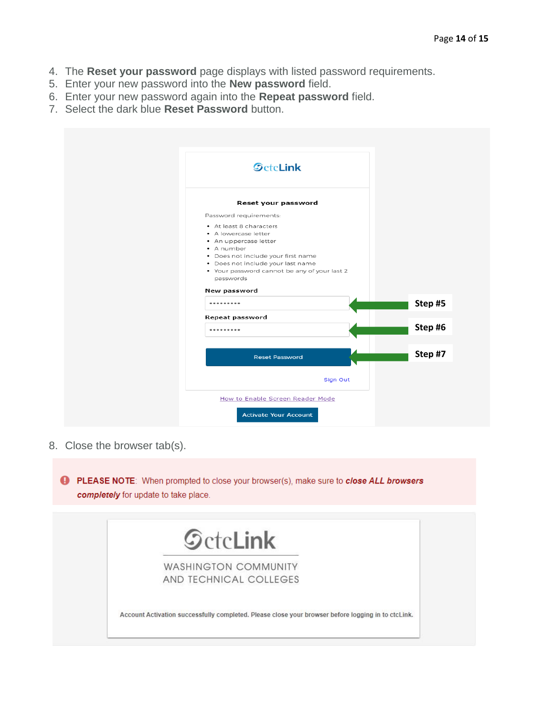- 4. The **Reset your password** page displays with listed password requirements.
- 5. Enter your new password into the **New password** field.
- 6. Enter your new password again into the **Repeat password** field.
- 7. Select the dark blue **Reset Password** button.

| <b>SctcLink</b>                                  |         |
|--------------------------------------------------|---------|
|                                                  |         |
| Reset your password                              |         |
| Password requirements:                           |         |
| • At least 8 characters<br>• A lowercase letter  |         |
| • An uppercase letter                            |         |
| • A number<br>· Does not include your first name |         |
| · Does not include your last name                |         |
| • Your password cannot be any of your last 2     |         |
| passwords                                        |         |
| New password                                     |         |
|                                                  | Step#5  |
| Repeat password                                  |         |
| ---------                                        | Step #6 |
|                                                  |         |
| <b>Reset Password</b>                            | Step #7 |
| Sign Out                                         |         |
|                                                  |         |
| How to Enable Screen Reader Mode                 |         |
|                                                  |         |

8. Close the browser tab(s).

PLEASE NOTE: When prompted to close your browser(s), make sure to close ALL browsers completely for update to take place.